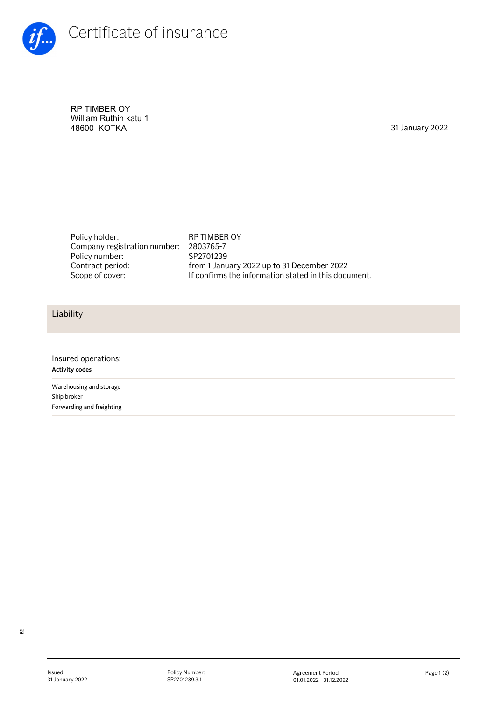

RP TIMBER OY William Ruthin katu 1<br>48600 KOTKA

31 January 2022

Policy holder: RP TIMBER OY Company registration number: Policy number: Contract period:

2803765-7 SP2701239 from 1 January 2022 up to 31 December 2022 Scope of cover: If confirms the information stated in this document.

## Liability

Insured operations: **Activity codes** Warehousing and storage Ship broker Forwarding and freighting